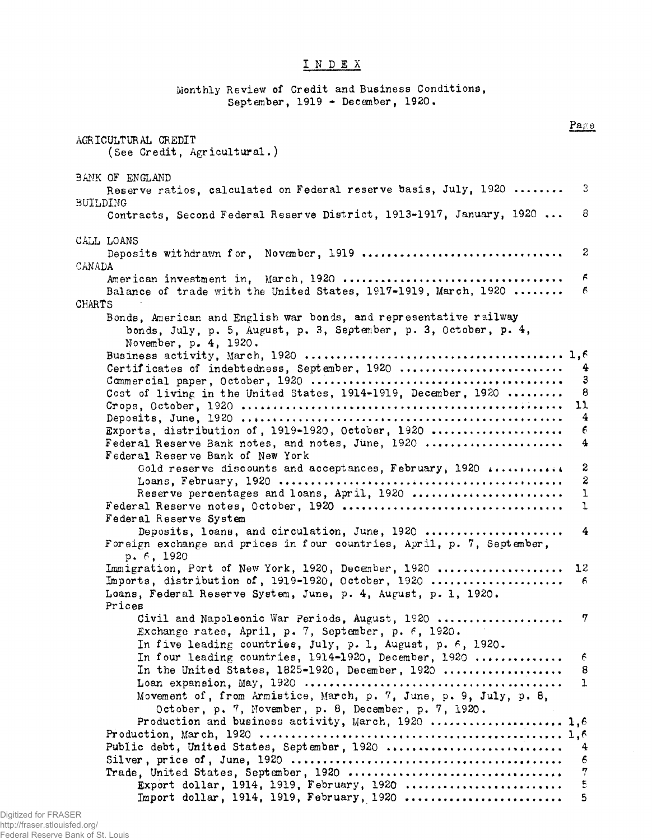## INDEX

Monthly Review of Credit and Business Conditions, September, 1919 - December, 1920.  $Pa\epsilon\theta$ AGRICULTURAL CREDIT (See Credit, Agricultural.) **BANK OF ENGLAND** Reserve ratios, calculated on Federal reserve basis, July, 1920 ........ 3 **BUILDING** Contracts, Second Federal Reserve District, 1913-1917, January, 1920 ... 8 CALL LOANS 2 CANADA F Balance of trade with the United States, 1917-1919, March, 1920 ........ 6 CHARTS Bonds, American and English war bonds, and representative railway bonds, July, p. 5, August, p. 3, September, p. 3, October, p. 4, November, p. 4, 1920. Certificates of indebtedness, September, 1920 ........................... 4 3 Cost of living in the United States, 1914-1919, December, 1920 ........ 8 11 4 Exports, distribution of, 1919-1920, October, 1920 ..................... 6 Federal Reserve Bank notes, and notes, June, 1920 .....................  $\boldsymbol{4}$ Federal Reserve Bank of New York S Gold reserve discounts and acceptances, February, 1920 ............ 2 Reserve percentages and loans, April, 1920 .......................  $\mathbf{L}$  $\mathbf{1}$ Federal Reserve System Deposits, loans, and circulation, June, 1920 ..................... 4 Foreign exchange and prices in four countries, April, p. 7, September,  $p. 6. 1920$ Immigration, Port of New York, 1920, December, 1920,....................  $12 \,$ Imports, distribution of,  $1919-1920$ , October,  $1920$ ..................... 6 Loans, Federal Reserve System, June, p. 4, August, p. 1, 1920. Prices 7 Civil and Napoleonic War Periods, August, 1920 ................... Exchange rates, April, p. 7, September, p. 6, 1920. In five leading countries, July, p. 1, August, p. 6, 1920. In four leading countries, 1914-1920, December, 1920 .............  $\epsilon$ In the United States,  $1825-1920$ , December,  $1920$ .................. 8  $\mathbf{1}$ Movement of, from Armistice, March, p. 7, June, p. 9, July, p. 8, October, p. 7, November, p. 8, December, p. 7, 1920. Production and business activity, March, 1920 ..................... 1,6 Public debt, United States, September, 1920 ............................. 4  $\epsilon$ Trade, United States, September, 1920 ...................................  $\boldsymbol{7}$ Export dollar, 1914, 1919, February, 1920 ........................  $\overline{\mathbb{S}}$ 5 Import dollar, 1914, 1919, February, 1920 .........................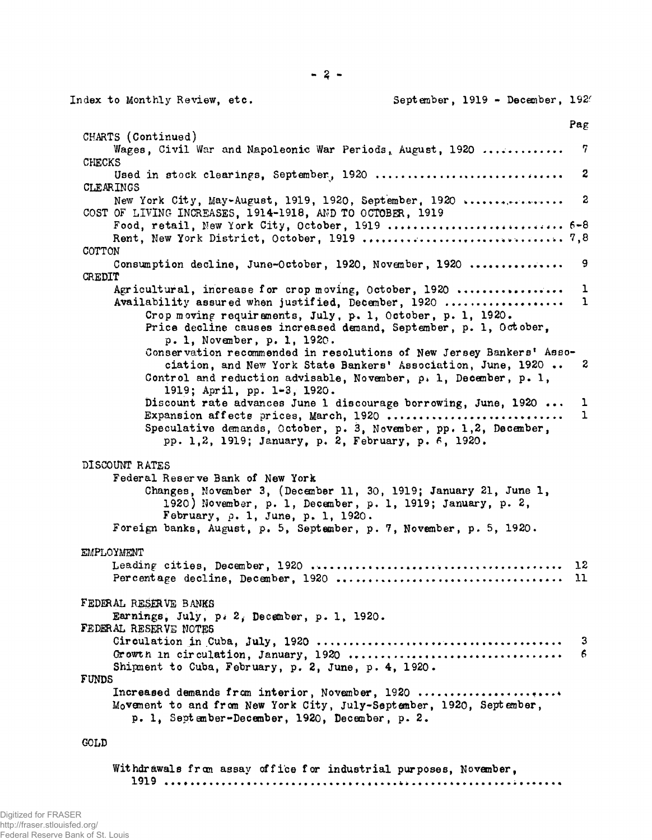September, 1919 - December, 1920 Index to Monthly Review, etc. Pag CHARTS (Continued) Wages, Civil War and Napoleonic War Periods, August, 1920 ............. 7 **CHECKS** 2 Used in stock clearings, September, 1920 ............................... CLEARINGS New York City, May-August, 1919, 1920, September, 1920 .................  $\boldsymbol{2}$ COST OF LIVING INCREASES, 1914-1918, AND TO OCTOBER, 1919 Food, retail, New York City, October, 1919 ............................... 6-8 COTTON Consumption decline, June-October, 1920, November, 1920 ............... 9 CREDIT Agricultural, increase for crop moving, October, 1920 .................  $\mathbf{1}$ Availability assured when justified, December, 1920 ..................  $\mathbf{1}$ Crop moving requirements, July, p. 1, October, p. 1, 1920. Price decline causes increased demand, September, p. 1, October, p. 1, November, p. 1, 1920. Conservation recommended in resolutions of New Jersey Bankers' Association, and New York State Bankers' Association, June, 1920 .. 2 Control and reduction advisable, November,  $p_i$ , 1, December,  $p_i$ , 1, 1919; April, pp. 1-3, 1920. Discount rate advances June 1 discourage borrowing, June, 1920 ...  $\mathbf{1}$  $\mathbf{1}$ Expansion affects prices, March, 1920 .................... Speculative demands, October, p. 3, November, pp. 1,2, December, pp. 1,2, 1919; January, p. 2, February, p. 6, 1920. DISCOUNT RATES Federal Reserve Bank of New York Changes, November 3, (December 11, 30, 1919; January 21, June 1, 1920) November, p. 1, December, p. 1, 1919; January, p. 2, February, p. 1, June, p. 1, 1920. Foreign banks, August, p. 5, September, p. 7, November, p. 5, 1920. EMPLOYMENT FEDERAL RESERVE BANKS Earnings, July, p. 2, December, p. 1, 1920. FEDERAL RESERVE NOTES 3 Growth in circulation, January, 1920 ...................................  $6\phantom{1}6$ Shipment to Cuba, February, p. 2, June, p. 4, 1920. **FUNDS** Increased demands from interior, November, 1920 ....................... Movement to and from New York City, July-September, 1920, September, p. 1, September-December, 1920, December, p. 2. GOLD

Withdrawals from assay office for industrial purposes, November,